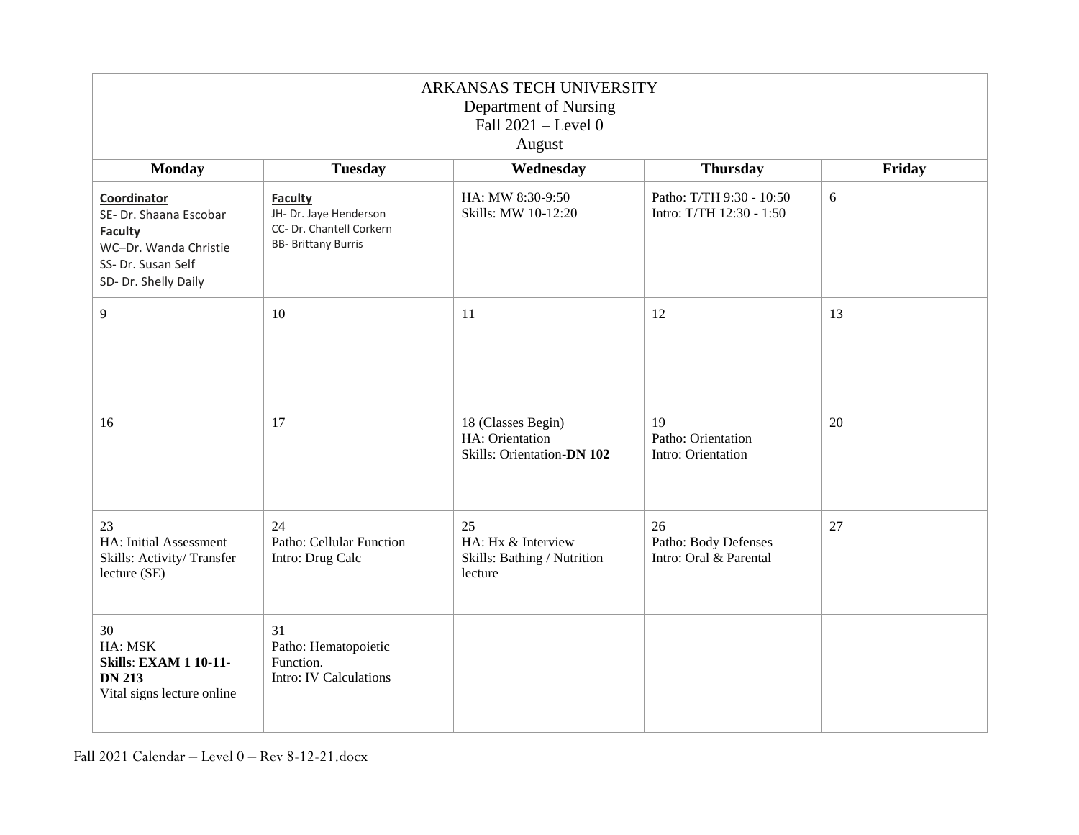| ARKANSAS TECH UNIVERSITY<br>Department of Nursing<br>Fall 2021 - Level 0<br>August                                             |                                                                                                    |                                                                     |                                                      |        |  |
|--------------------------------------------------------------------------------------------------------------------------------|----------------------------------------------------------------------------------------------------|---------------------------------------------------------------------|------------------------------------------------------|--------|--|
| <b>Monday</b>                                                                                                                  | <b>Tuesday</b>                                                                                     | Wednesday                                                           | <b>Thursday</b>                                      | Friday |  |
| Coordinator<br>SE- Dr. Shaana Escobar<br><b>Faculty</b><br>WC-Dr. Wanda Christie<br>SS- Dr. Susan Self<br>SD- Dr. Shelly Daily | <b>Faculty</b><br>JH- Dr. Jaye Henderson<br>CC- Dr. Chantell Corkern<br><b>BB- Brittany Burris</b> | HA: MW 8:30-9:50<br>Skills: MW 10-12:20                             | Patho: T/TH 9:30 - 10:50<br>Intro: T/TH 12:30 - 1:50 | 6      |  |
| 9                                                                                                                              | 10                                                                                                 | 11                                                                  | 12                                                   | 13     |  |
| 16                                                                                                                             | 17                                                                                                 | 18 (Classes Begin)<br>HA: Orientation<br>Skills: Orientation-DN 102 | 19<br>Patho: Orientation<br>Intro: Orientation       | 20     |  |
| 23<br>HA: Initial Assessment<br>Skills: Activity/Transfer<br>lecture (SE)                                                      | 24<br>Patho: Cellular Function<br>Intro: Drug Calc                                                 | 25<br>HA: Hx & Interview<br>Skills: Bathing / Nutrition<br>lecture  | 26<br>Patho: Body Defenses<br>Intro: Oral & Parental | 27     |  |
| 30<br>HA: MSK<br><b>Skills: EXAM 1 10-11-</b><br><b>DN 213</b><br>Vital signs lecture online                                   | 31<br>Patho: Hematopoietic<br>Function.<br>Intro: IV Calculations                                  |                                                                     |                                                      |        |  |

Fall 2021 Calendar – Level 0 – Rev 8-12-21.docx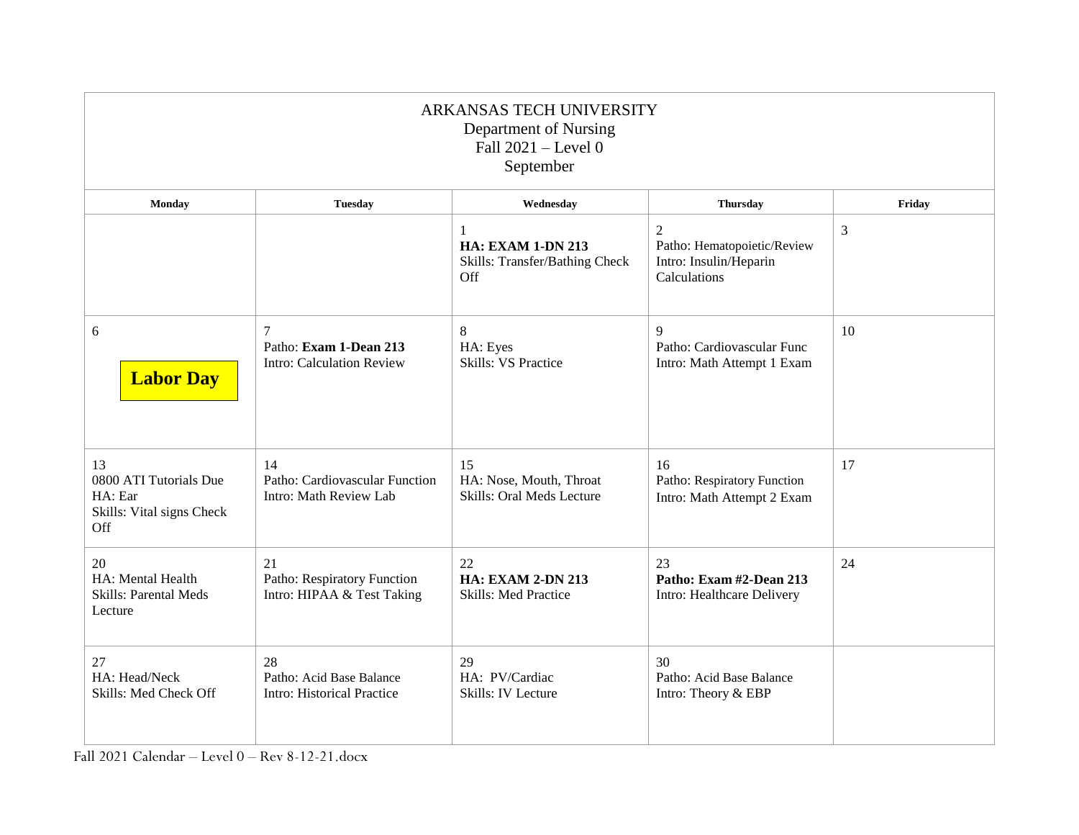| ARKANSAS TECH UNIVERSITY<br>Department of Nursing<br>Fall $2021$ – Level 0<br>September |                                                                     |                                                                        |                                                                                         |        |  |
|-----------------------------------------------------------------------------------------|---------------------------------------------------------------------|------------------------------------------------------------------------|-----------------------------------------------------------------------------------------|--------|--|
| Monday                                                                                  | <b>Tuesday</b>                                                      | Wednesday                                                              | <b>Thursday</b>                                                                         | Friday |  |
|                                                                                         |                                                                     | 1<br><b>HA: EXAM 1-DN 213</b><br>Skills: Transfer/Bathing Check<br>Off | $\overline{2}$<br>Patho: Hematopoietic/Review<br>Intro: Insulin/Heparin<br>Calculations | 3      |  |
| 6<br><b>Labor Day</b>                                                                   | 7<br>Patho: Exam 1-Dean 213<br><b>Intro: Calculation Review</b>     | 8<br>HA: Eyes<br><b>Skills: VS Practice</b>                            | 9<br>Patho: Cardiovascular Func<br>Intro: Math Attempt 1 Exam                           | 10     |  |
| 13<br>0800 ATI Tutorials Due<br>HA: Ear<br>Skills: Vital signs Check<br>Off             | 14<br>Patho: Cardiovascular Function<br>Intro: Math Review Lab      | 15<br>HA: Nose, Mouth, Throat<br><b>Skills: Oral Meds Lecture</b>      | 16<br>Patho: Respiratory Function<br>Intro: Math Attempt 2 Exam                         | 17     |  |
| 20<br>HA: Mental Health<br><b>Skills: Parental Meds</b><br>Lecture                      | 21<br>Patho: Respiratory Function<br>Intro: HIPAA & Test Taking     | 22<br><b>HA: EXAM 2-DN 213</b><br><b>Skills: Med Practice</b>          | 23<br>Patho: Exam #2-Dean 213<br>Intro: Healthcare Delivery                             | 24     |  |
| 27<br>HA: Head/Neck<br>Skills: Med Check Off                                            | 28<br>Patho: Acid Base Balance<br><b>Intro: Historical Practice</b> | 29<br>HA: PV/Cardiac<br><b>Skills: IV Lecture</b>                      | 30<br>Patho: Acid Base Balance<br>Intro: Theory & EBP                                   |        |  |

Fall 2021 Calendar – Level 0 – Rev 8-12-21.docx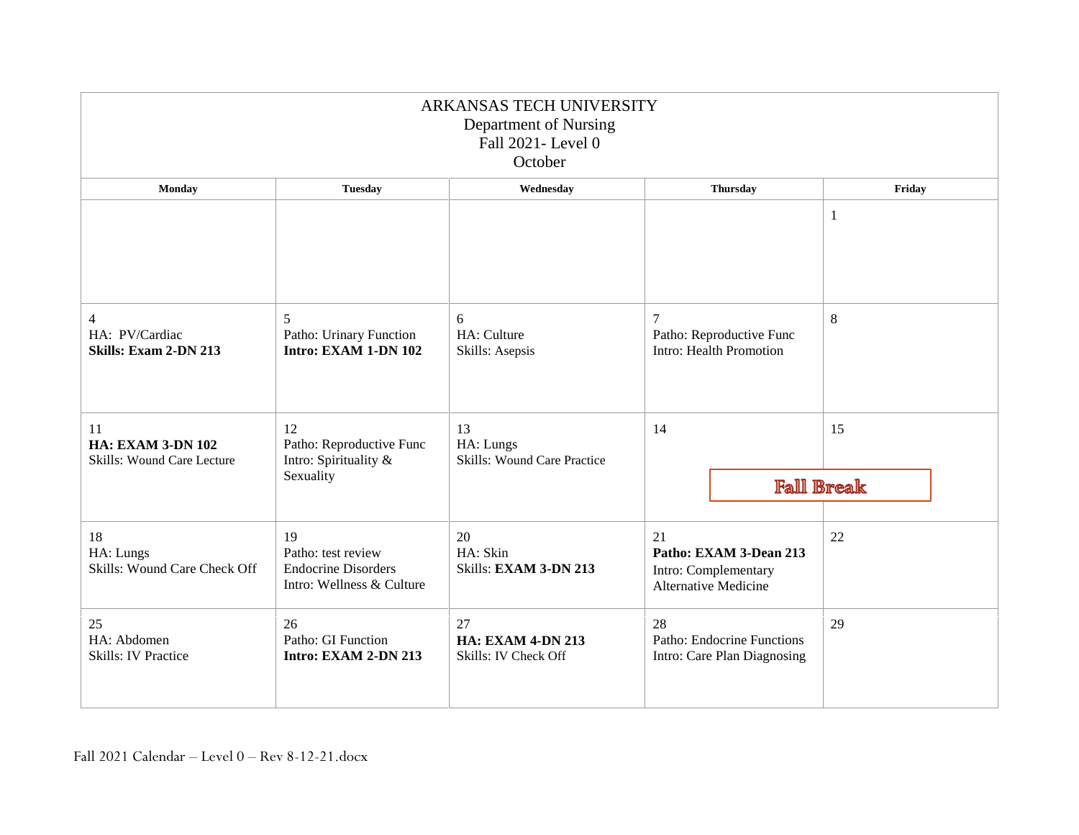| ARKANSAS TECH UNIVERSITY<br>Department of Nursing<br>Fall 2021- Level 0<br>October |                                                                                     |                                                        |                                                                                     |                 |                   |  |
|------------------------------------------------------------------------------------|-------------------------------------------------------------------------------------|--------------------------------------------------------|-------------------------------------------------------------------------------------|-----------------|-------------------|--|
| Monday                                                                             | <b>Tuesday</b>                                                                      | Wednesday                                              |                                                                                     | <b>Thursday</b> | Friday            |  |
|                                                                                    |                                                                                     |                                                        |                                                                                     |                 | 1                 |  |
| $\overline{4}$<br>HA: PV/Cardiac<br>Skills: Exam 2-DN 213                          | 5<br>Patho: Urinary Function<br>Intro: EXAM 1-DN 102                                | 6<br>HA: Culture<br>Skills: Asepsis                    | 7<br>Patho: Reproductive Func<br>Intro: Health Promotion                            |                 | $8\,$             |  |
| 11<br><b>HA: EXAM 3-DN 102</b><br>Skills: Wound Care Lecture                       | 12<br>Patho: Reproductive Func<br>Intro: Spirituality &<br>Sexuality                | 13<br>HA: Lungs<br><b>Skills: Wound Care Practice</b>  | 14                                                                                  |                 | 15                |  |
|                                                                                    |                                                                                     |                                                        |                                                                                     |                 | <b>Fall Break</b> |  |
| 18<br>HA: Lungs<br>Skills: Wound Care Check Off                                    | 19<br>Patho: test review<br><b>Endocrine Disorders</b><br>Intro: Wellness & Culture | 20<br>HA: Skin<br>Skills: EXAM 3-DN 213                | 21<br>Patho: EXAM 3-Dean 213<br>Intro: Complementary<br><b>Alternative Medicine</b> |                 | 22                |  |
| 25<br>HA: Abdomen<br>Skills: IV Practice                                           | 26<br>Patho: GI Function<br>Intro: EXAM 2-DN 213                                    | 27<br><b>HA: EXAM 4-DN 213</b><br>Skills: IV Check Off | 28<br>Patho: Endocrine Functions<br>Intro: Care Plan Diagnosing                     |                 | 29                |  |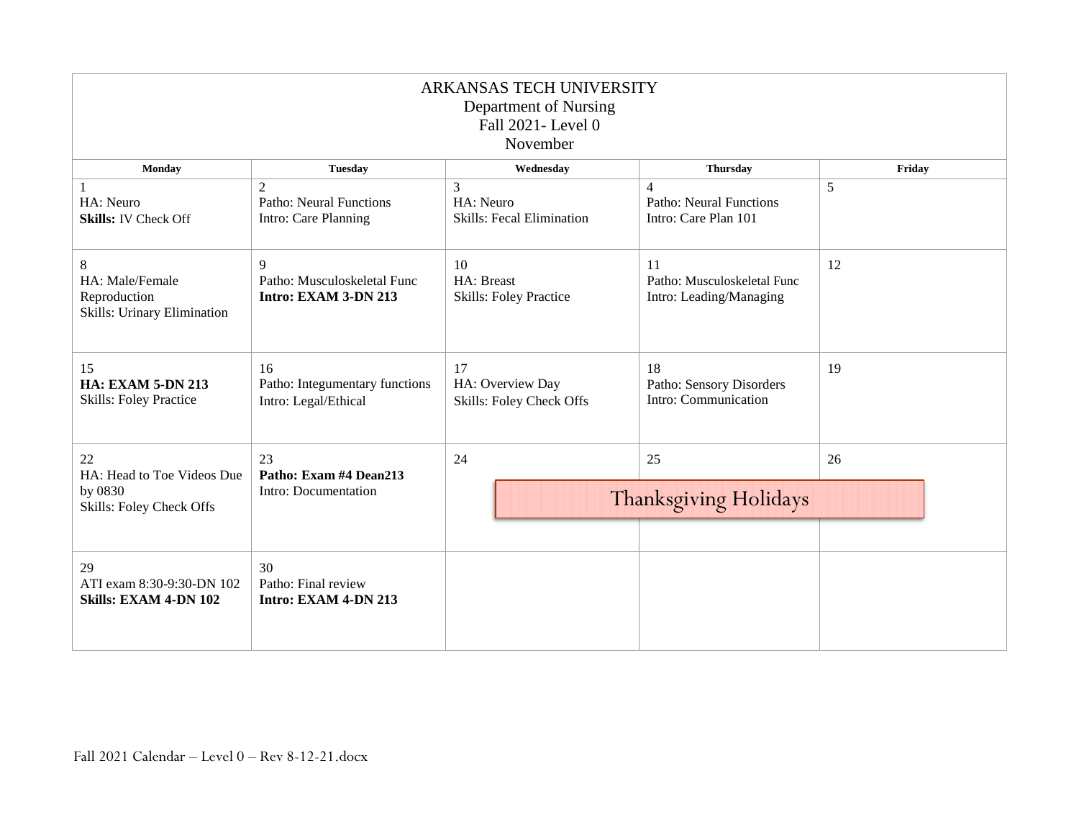| ARKANSAS TECH UNIVERSITY<br>Department of Nursing<br>Fall 2021- Level 0<br>November |                                                              |                                                                |                                                                    |        |  |
|-------------------------------------------------------------------------------------|--------------------------------------------------------------|----------------------------------------------------------------|--------------------------------------------------------------------|--------|--|
| <b>Monday</b>                                                                       | <b>Tuesday</b>                                               | Wednesday                                                      | <b>Thursday</b>                                                    | Friday |  |
| HA: Neuro<br><b>Skills: IV Check Off</b>                                            | 2<br><b>Patho: Neural Functions</b><br>Intro: Care Planning  | $\mathcal{E}$<br>HA: Neuro<br><b>Skills: Fecal Elimination</b> | $\Delta$<br><b>Patho: Neural Functions</b><br>Intro: Care Plan 101 | 5      |  |
| 8<br>HA: Male/Female<br>Reproduction<br>Skills: Urinary Elimination                 | 9<br>Patho: Musculoskeletal Func<br>Intro: EXAM 3-DN 213     | 10<br>HA: Breast<br><b>Skills: Foley Practice</b>              | 11<br>Patho: Musculoskeletal Func<br>Intro: Leading/Managing       | 12     |  |
| 15<br><b>HA: EXAM 5-DN 213</b><br><b>Skills: Foley Practice</b>                     | 16<br>Patho: Integumentary functions<br>Intro: Legal/Ethical | 17<br>HA: Overview Day<br>Skills: Foley Check Offs             | 18<br>Patho: Sensory Disorders<br>Intro: Communication             | 19     |  |
| 22<br>HA: Head to Toe Videos Due<br>by 0830<br>Skills: Foley Check Offs             | 23<br>Patho: Exam #4 Dean213<br>Intro: Documentation         | 25<br>24<br>26<br><b>Thanksgiving Holidays</b>                 |                                                                    |        |  |
| 29<br>ATI exam 8:30-9:30-DN 102<br><b>Skills: EXAM 4-DN 102</b>                     | 30<br>Patho: Final review<br>Intro: EXAM 4-DN 213            |                                                                |                                                                    |        |  |